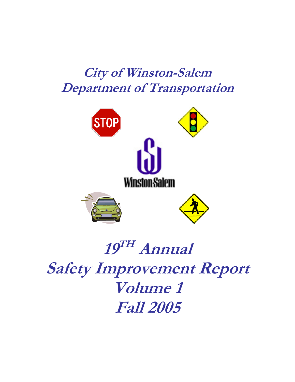# **City of Winston-Salem Department of Transportation**



# **19TH Annual Safety Improvement Report Volume 1 Fall 2005**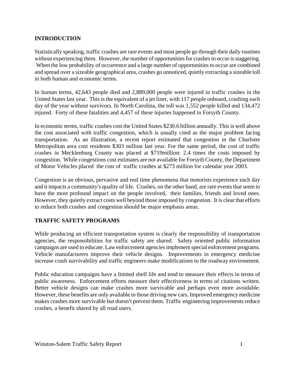## **INTRODUCTION**

Statistically speaking, traffic crashes are rare events and most people go through their daily routines without experiencing them. However, the number of opportunities for crashes to occur is staggering. When the low probability of occurrence and a large number of opportunities to occur are combined and spread over a sizeable geographical area, crashes go unnoticed, quietly extracting a sizeable toll in both human and economic terms.

In human terms, 42,643 people died and 2,889,000 people were injured in traffic crashes in the United States last year. This is the equivalent of a jet liner, with 117 people onboard, crashing each day of the year without survivors. In North Carolina, the toll was 1,552 people killed and 134,472 injured. Forty of these fatalities and 4,457 of these injuries happened in Forsyth County.

In economic terms, traffic crashes cost the United States \$230.6 billion annually. This is well above the cost associated with traffic congestion, which is usually cited as the major problem facing transportation. As an illustration, a recent report estimated that congestion in the Charlotte Metropolitan area cost residents \$303 million last year. For the same period, the cost of traffic crashes in Mecklenburg County was placed at \$719million: 2.4 times the costs imposed by congestion. While congestions cost estimates are not available for Forsyth County, the Department of Motor Vehicles placed the cost of traffic crashes at \$273 million for calendar year 2003.

Congestion is an obvious, pervasive and real time phenomena that motorists experience each day and it impacts a community's quality of life. Crashes, on the other hand, are rare events that seem to have the most profound impact on the people involved, their families, friends and loved ones. However, they quietly extract costs well beyond those imposed by congestion. It is clear that efforts to reduce both crashes and congestion should be major emphasis areas.

# **TRAFFIC SAFETY PROGRAMS**

While producing an efficient transportation system is clearly the responsibility of transportation agencies, the responsibilities for traffic safety are shared. Safety oriented public information campaigns are used to educate. Law enforcement agencies implement special enforcement programs. Vehicle manufacturers improve their vehicle designs. Improvements in emergency medicine increase crash survivability and traffic engineers make modifications to the roadway environment.

Public education campaigns have a limited shelf life and tend to measure their effects in terms of public awareness. Enforcement efforts measure their effectiveness in terms of citations written. Better vehicle designs can make crashes more survivable and perhaps even more avoidable. However, these benefits are only available to those driving new cars. Improved emergency medicine makes crashes more survivable but doesn't prevent them. Traffic engineering improvements reduce crashes, a benefit shared by all road users.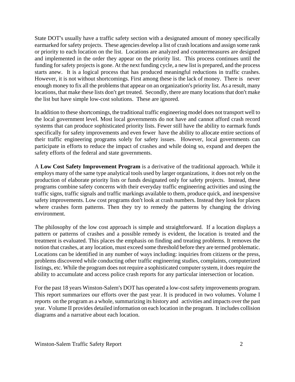State DOT's usually have a traffic safety section with a designated amount of money specifically earmarked for safety projects. These agencies develop a list of crash locations and assign some rank or priority to each location on the list. Locations are analyzed and countermeasures are designed and implemented in the order they appear on the priority list. This process continues until the funding for safety projects is gone. At the next funding cycle, a new list is prepared, and the process starts anew. It is a logical process that has produced meaningful reductions in traffic crashes. However, it is not without shortcomings. First among these is the lack of money. There is never enough money to fix all the problems that appear on an organization's priority list. As a result, many locations, that make these lists don't get treated. Secondly, there are many locations that don't make the list but have simple low-cost solutions. These are ignored.

In addition to these shortcomings, the traditional traffic engineering model does not transport well to the local government level. Most local governments do not have and cannot afford crash record systems that can produce sophisticated priority lists. Fewer still have the ability to earmark funds specifically for safety improvements and even fewer have the ability to allocate entire sections of their traffic engineering programs solely for safety issues. However, local governments can participate in efforts to reduce the impact of crashes and while doing so, expand and deepen the safety efforts of the federal and state governments.

A **Low Cost Safety Improvement Program** is a derivative of the traditional approach. While it employs many of the same type analytical tools used by larger organizations, it does not rely on the production of elaborate priority lists or funds designated only for safety projects. Instead, these programs combine safety concerns with their everyday traffic engineering activities and using the traffic signs, traffic signals and traffic markings available to them, produce quick, and inexpensive safety improvements. Low cost programs don't look at crash numbers. Instead they look for places where crashes form patterns. Then they try to remedy the patterns by changing the driving environment.

The philosophy of the low cost approach is simple and straightforward. If a location displays a pattern or patterns of crashes and a possible remedy is evident, the location is treated and the treatment is evaluated. This places the emphasis on finding and treating problems. It removes the notion that crashes, at any location, must exceed some threshold before they are termed problematic. Locations can be identified in any number of ways including: inquiries from citizens or the press, problems discovered while conducting other traffic engineering studies, complaints, computerized listings, etc. While the program does not require a sophisticated computer system, it does require the ability to accumulate and access police crash reports for any particular intersection or location.

For the past 18 years Winston-Salem's DOT has operated a low-cost safety improvements program. This report summarizes our efforts over the past year. It is produced in two volumes. Volume I reports on the program as a whole, summarizing its history and activities and impacts over the past year. Volume II provides detailed information on each location in the program. It includes collision diagrams and a narrative about each location.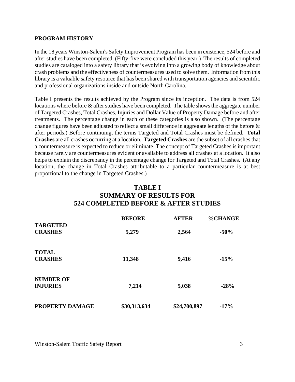#### **PROGRAM HISTORY**

In the 18 years Winston-Salem's Safety Improvement Program has been in existence, 524 before and after studies have been completed. (Fifty-five were concluded this year.) The results of completed studies are cataloged into a safety library that is evolving into a growing body of knowledge about crash problems and the effectiveness of countermeasures used to solve them. Information from this library is a valuable safety resource that has been shared with transportation agencies and scientific and professional organizations inside and outside North Carolina.

Table I presents the results achieved by the Program since its inception. The data is from 524 locations where before & after studies have been completed. The table shows the aggregate number of Targeted Crashes, Total Crashes, Injuries and Dollar Value of Property Damage before and after treatments. The percentage change in each of these categories is also shown. (The percentage change figures have been adjusted to reflect a small difference in aggregate lengths of the before & after periods.) Before continuing, the terms Targeted and Total Crashes must be defined. **Total Crashes** are all crashes occurring at a location. **Targeted Crashes** are the subset of all crashes that a countermeasure is expected to reduce or eliminate. The concept of Targeted Crashes is important because rarely are countermeasures evident or available to address all crashes at a location. It also helps to explain the discrepancy in the percentage change for Targeted and Total Crashes. (At any location, the change in Total Crashes attributable to a particular countermeasure is at best proportional to the change in Targeted Crashes.)

# **TABLE I SUMMARY OF RESULTS FOR 524 COMPLETED BEFORE & AFTER STUDIES**

| <b>BEFORE</b> | <b>AFTER</b> | <b>%CHANGE</b> |
|---------------|--------------|----------------|
|               |              |                |
| 5,279         | 2,564        | $-50%$         |
|               |              |                |
| 11,348        | 9,416        | $-15%$         |
|               |              |                |
| 7,214         | 5,038        | $-28%$         |
|               |              | $-17%$         |
|               | \$30,313,634 | \$24,700,897   |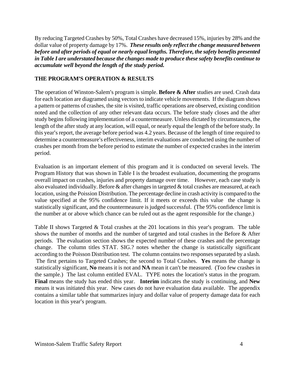By reducing Targeted Crashes by 50%, Total Crashes have decreased 15%, injuries by 28% and the dollar value of property damage by 17%. *These results only reflect the change measured between before and after periods of equal or nearly equal lengths. Therefore, the safety benefits presented in Table I are understated because the changes made to produce these safety benefits continue to accumulate well beyond the length of the study period.* 

#### **THE PROGRAM**=**S OPERATION & RESULTS**

The operation of Winston-Salem's program is simple. **Before & After** studies are used. Crash data for each location are diagramed using vectors to indicate vehicle movements. If the diagram shows a pattern or patterns of crashes, the site is visited, traffic operations are observed, existing condition noted and the collection of any other relevant data occurs. The before study closes and the after study begins following implementation of a countermeasure. Unless dictated by circumstances, the length of the after study at any location, will equal, or nearly equal the length of the before study. In this year's report, the average before period was 4.2 years. Because of the length of time required to determine a countermeasure's effectiveness, interim evaluations are conducted using the number of crashes per month from the before period to estimate the number of expected crashes in the interim period.

Evaluation is an important element of this program and it is conducted on several levels. The Program History that was shown in Table I is the broadest evaluation, documenting the programs overall impact on crashes, injuries and property damage over time. However, each case study is also evaluated individually. Before & after changes in targeted & total crashes are measured, at each location, using the Poission Distribution. The percentage decline in crash activity is compared to the value specified at the 95% confidence limit. If it meets or exceeds this value the change is statistically significant, and the countermeasure is judged successful. (The 95% confidence limit is the number at or above which chance can be ruled out as the agent responsible for the change.)

Table II shows Targeted  $&$  Total crashes at the 201 locations in this year's program. The table shows the number of months and the number of targeted and total crashes in the Before & After periods. The evaluation section shows the expected number of these crashes and the percentage change. The column titles STAT. SIG.? notes whether the change is statistically significant according to the Poisson Distribution test. The column contains two responses separated by a slash. The first pertains to Targeted Crashes; the second to Total Crashes. **Yes** means the change is statistically significant, **No** means it is not and **NA** mean it can't be measured. (Too few crashes in the sample.) The last column entitled EVAL. TYPE notes the location's status in the program. **Final** means the study has ended this year. **Interim** indicates the study is continuing, and **New** means it was initiated this year. New cases do not have evaluation data available. The appendix contains a similar table that summarizes injury and dollar value of property damage data for each location in this year's program.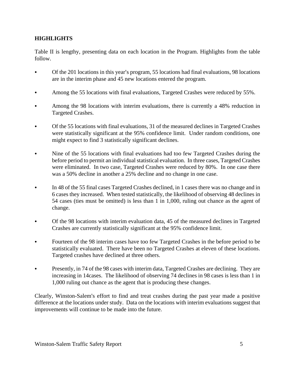# **HIGHLIGHTS**

Table II is lengthy, presenting data on each location in the Program. Highlights from the table follow.

- Of the 201 locations in this year's program, 55 locations had final evaluations, 98 locations are in the interim phase and 45 new locations entered the program.
- Among the 55 locations with final evaluations, Targeted Crashes were reduced by 55%.
- Among the 98 locations with interim evaluations, there is currently a 48% reduction in Targeted Crashes.
- Of the 55 locations with final evaluations, 31 of the measured declines in Targeted Crashes were statistically significant at the 95% confidence limit. Under random conditions, one might expect to find 3 statistically significant declines.
- Nine of the 55 locations with final evaluations had too few Targeted Crashes during the before period to permit an individual statistical evaluation. In three cases, Targeted Crashes were eliminated. In two case, Targeted Crashes were reduced by 80%. In one case there was a 50% decline in another a 25% decline and no change in one case.
- In 48 of the 55 final cases Targeted Crashes declined, in 1 cases there was no change and in 6 cases they increased. When tested statistically, the likelihood of observing 48 declines in 54 cases (ties must be omitted) is less than 1 in 1,000, ruling out chance as the agent of change.
- Of the 98 locations with interim evaluation data, 45 of the measured declines in Targeted Crashes are currently statistically significant at the 95% confidence limit.
- Fourteen of the 98 interim cases have too few Targeted Crashes in the before period to be statistically evaluated. There have been no Targeted Crashes at eleven of these locations. Targeted crashes have declined at three others.
- Presently, in 74 of the 98 cases with interim data, Targeted Crashes are declining. They are increasing in 14cases. The likelihood of observing 74 declines in 98 cases is less than 1 in 1,000 ruling out chance as the agent that is producing these changes.

Clearly, Winston-Salem's effort to find and treat crashes during the past year made a positive difference at the locations under study. Data on the locations with interim evaluations suggest that improvements will continue to be made into the future.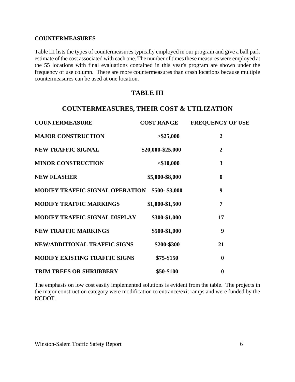#### **COUNTERMEASURES**

Table III lists the types of countermeasures typically employed in our program and give a ball park estimate of the cost associated with each one. The number of times these measures were employed at the 55 locations with final evaluations contained in this year's program are shown under the frequency of use column. There are more countermeasures than crash locations because multiple countermeasures can be used at one location.

# **TABLE III**

# **COUNTERMEASURES, THEIR COST & UTILIZATION**

| <b>COUNTERMEASURE</b>                  | <b>COST RANGE</b> | <b>FREQUENCY OF USE</b> |
|----------------------------------------|-------------------|-------------------------|
| <b>MAJOR CONSTRUCTION</b>              | > \$25,000        | $\boldsymbol{2}$        |
| <b>NEW TRAFFIC SIGNAL</b>              | \$20,000-\$25,000 | $\overline{2}$          |
| <b>MINOR CONSTRUCTION</b>              | $<$ \$10,000      | 3                       |
| <b>NEW FLASHER</b>                     | \$5,000-\$8,000   | $\boldsymbol{0}$        |
| <b>MODIFY TRAFFIC SIGNAL OPERATION</b> | \$500-\$3,000     | 9                       |
| <b>MODIFY TRAFFIC MARKINGS</b>         | \$1,000-\$1,500   | 7                       |
| <b>MODIFY TRAFFIC SIGNAL DISPLAY</b>   | \$300-\$1,000     | 17                      |
| <b>NEW TRAFFIC MARKINGS</b>            | \$500-\$1,000     | $\boldsymbol{9}$        |
| <b>NEW/ADDITIONAL TRAFFIC SIGNS</b>    | \$200-\$300       | 21                      |
| <b>MODIFY EXISTING TRAFFIC SIGNS</b>   | $$75 - $150$      | $\boldsymbol{0}$        |
| <b>TRIM TREES OR SHRUBBERY</b>         | \$50-\$100        | $\bf{0}$                |

The emphasis on low cost easily implemented solutions is evident from the table. The projects in the major construction category were modification to entrance/exit ramps and were funded by the NCDOT.